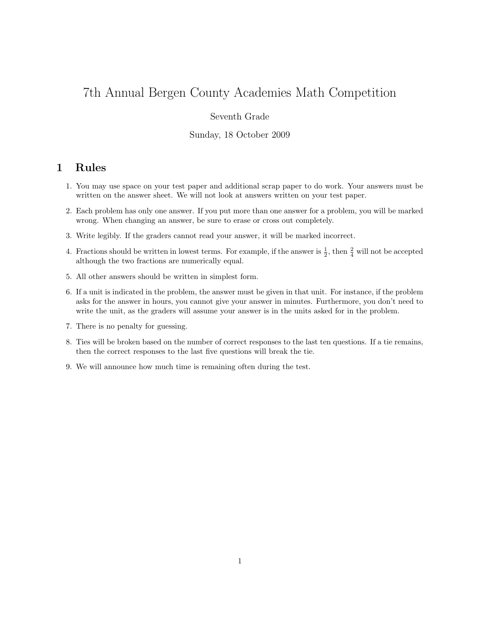# 7th Annual Bergen County Academies Math Competition

### Seventh Grade

#### Sunday, 18 October 2009

# 1 Rules

- 1. You may use space on your test paper and additional scrap paper to do work. Your answers must be written on the answer sheet. We will not look at answers written on your test paper.
- 2. Each problem has only one answer. If you put more than one answer for a problem, you will be marked wrong. When changing an answer, be sure to erase or cross out completely.
- 3. Write legibly. If the graders cannot read your answer, it will be marked incorrect.
- 4. Fractions should be written in lowest terms. For example, if the answer is  $\frac{1}{2}$ , then  $\frac{2}{4}$  will not be accepted although the two fractions are numerically equal.
- 5. All other answers should be written in simplest form.
- 6. If a unit is indicated in the problem, the answer must be given in that unit. For instance, if the problem asks for the answer in hours, you cannot give your answer in minutes. Furthermore, you don't need to write the unit, as the graders will assume your answer is in the units asked for in the problem.
- 7. There is no penalty for guessing.
- 8. Ties will be broken based on the number of correct responses to the last ten questions. If a tie remains, then the correct responses to the last five questions will break the tie.
- 9. We will announce how much time is remaining often during the test.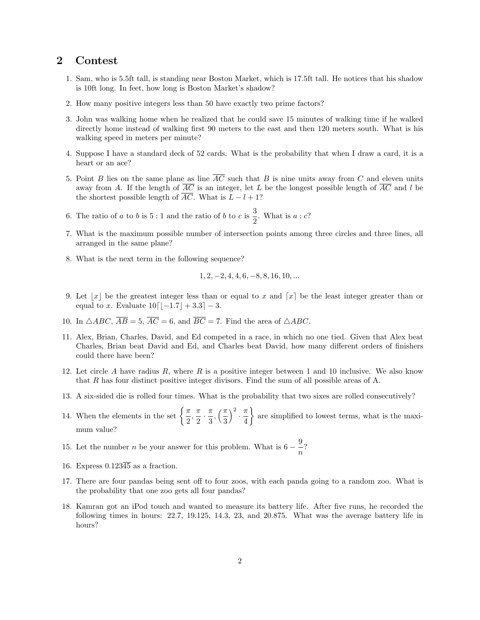## 2 Contest

- 1. Sam, who is 5.5ft tall, is standing near Boston Market, which is 17.5ft tall. He notices that his shadow is 10ft long. In feet, how long is Boston Market's shadow?
- 2. How many positive integers less than 50 have exactly two prime factors?
- 3. John was walking home when he realized that he could save 15 minutes of walking time if he walked directly home instead of walking first 90 meters to the east and then 120 meters south. What is his walking speed in meters per minute?
- 4. Suppose I have a standard deck of 52 cards. What is the probability that when I draw a card, it is a heart or an ace?
- 5. Point B lies on the same plane as line  $\overline{AC}$  such that B is nine units away from C and eleven units away from A. If the length of  $\overline{AC}$  is an integer, let L be the longest possible length of  $\overline{AC}$  and l be the shortest possible length of  $\overline{AC}$ . What is  $L - l + 1$ ?
- 6. The ratio of a to b is 5 : 1 and the ratio of b to c is  $\frac{3}{2}$  $\frac{3}{2}$ . What is  $a : c$ ?
- 7. What is the maximum possible number of intersection points among three circles and three lines, all arranged in the same plane?
- 8. What is the next term in the following sequence?

$$
1, 2, -2, 4, 4, 6, -8, 8, 16, 10, \dots
$$

- 9. Let  $|x|$  be the greatest integer less than or equal to x and  $[x]$  be the least integer greater than or equal to x. Evaluate  $10[-1.7] + 3.3- 3.8$
- 10. In  $\triangle ABC$ ,  $\overline{AB} = 5$ ,  $\overline{AC} = 6$ , and  $\overline{BC} = 7$ . Find the area of  $\triangle ABC$ .
- 11. Alex, Brian, Charles, David, and Ed competed in a race, in which no one tied. Given that Alex beat Charles, Brian beat David and Ed, and Charles beat David, how many different orders of finishers could there have been?
- 12. Let circle A have radius  $R$ , where  $R$  is a positive integer between 1 and 10 inclusive. We also know that R has four distinct positive integer divisors. Find the sum of all possible areas of A.
- 13. A six-sided die is rolled four times. What is the probability that two sixes are rolled consecutively?
- 14. When the elements in the set  $\left\{\frac{\pi}{2}\right\}$  $\frac{\pi}{2}, \frac{\pi}{2}$  $\frac{\pi}{2} \cdot \frac{\pi}{3}$  $\frac{\pi}{3}, \left(\frac{\pi}{3}\right)$ 3  $\Big)^2 \cdot \frac{\pi}{4}$ 4 are simplified to lowest terms, what is the maximum value?
- 15. Let the number *n* be your answer for this problem. What is  $6 \frac{9}{5}$  $\frac{5}{n}$ ?
- 16. Express  $0.123\overline{45}$  as a fraction.
- 17. There are four pandas being sent off to four zoos, with each panda going to a random zoo. What is the probability that one zoo gets all four pandas?
- 18. Kamran got an iPod touch and wanted to measure its battery life. After five runs, he recorded the following times in hours: 22.7, 19.125, 14.3, 23, and 20.875. What was the average battery life in hours?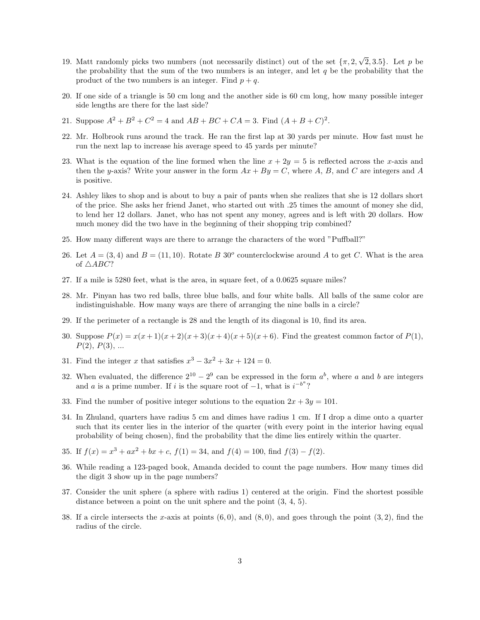- 19. Matt randomly picks two numbers (not necessarily distinct) out of the set  $\{\pi, 2,$ √  ${2, 3.5}$ . Let p be the probability that the sum of the two numbers is an integer, and let  $q$  be the probability that the product of the two numbers is an integer. Find  $p + q$ .
- 20. If one side of a triangle is 50 cm long and the another side is 60 cm long, how many possible integer side lengths are there for the last side?
- 21. Suppose  $A^2 + B^2 + C^2 = 4$  and  $AB + BC + CA = 3$ . Find  $(A + B + C)^2$ .
- 22. Mr. Holbrook runs around the track. He ran the first lap at 30 yards per minute. How fast must he run the next lap to increase his average speed to 45 yards per minute?
- 23. What is the equation of the line formed when the line  $x + 2y = 5$  is reflected across the x-axis and then the y-axis? Write your answer in the form  $Ax + By = C$ , where A, B, and C are integers and A is positive.
- 24. Ashley likes to shop and is about to buy a pair of pants when she realizes that she is 12 dollars short of the price. She asks her friend Janet, who started out with .25 times the amount of money she did, to lend her 12 dollars. Janet, who has not spent any money, agrees and is left with 20 dollars. How much money did the two have in the beginning of their shopping trip combined?
- 25. How many different ways are there to arrange the characters of the word "Puffball?"
- 26. Let  $A = (3, 4)$  and  $B = (11, 10)$ . Rotate B 30<sup>o</sup> counterclockwise around A to get C. What is the area of  $\triangle ABC$ ?
- 27. If a mile is 5280 feet, what is the area, in square feet, of a 0.0625 square miles?
- 28. Mr. Pinyan has two red balls, three blue balls, and four white balls. All balls of the same color are indistinguishable. How many ways are there of arranging the nine balls in a circle?
- 29. If the perimeter of a rectangle is 28 and the length of its diagonal is 10, find its area.
- 30. Suppose  $P(x) = x(x+1)(x+2)(x+3)(x+4)(x+5)(x+6)$ . Find the greatest common factor of  $P(1)$ ,  $P(2), P(3), ...$
- 31. Find the integer x that satisfies  $x^3 3x^2 + 3x + 124 = 0$ .
- 32. When evaluated, the difference  $2^{10} 2^9$  can be expressed in the form  $a^b$ , where a and b are integers and a is a prime number. If i is the square root of  $-1$ , what is  $i^{-b^a}$ ?
- 33. Find the number of positive integer solutions to the equation  $2x + 3y = 101$ .
- 34. In Zhuland, quarters have radius 5 cm and dimes have radius 1 cm. If I drop a dime onto a quarter such that its center lies in the interior of the quarter (with every point in the interior having equal probability of being chosen), find the probability that the dime lies entirely within the quarter.
- 35. If  $f(x) = x^3 + ax^2 + bx + c$ ,  $f(1) = 34$ , and  $f(4) = 100$ , find  $f(3) f(2)$ .
- 36. While reading a 123-paged book, Amanda decided to count the page numbers. How many times did the digit 3 show up in the page numbers?
- 37. Consider the unit sphere (a sphere with radius 1) centered at the origin. Find the shortest possible distance between a point on the unit sphere and the point  $(3, 4, 5)$ .
- 38. If a circle intersects the x-axis at points  $(6, 0)$ , and  $(8, 0)$ , and goes through the point  $(3, 2)$ , find the radius of the circle.